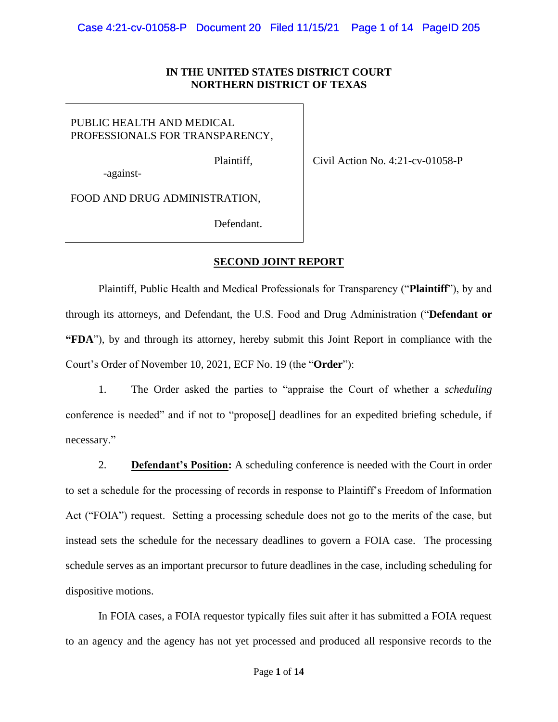## **IN THE UNITED STATES DISTRICT COURT NORTHERN DISTRICT OF TEXAS**

# PUBLIC HEALTH AND MEDICAL PROFESSIONALS FOR TRANSPARENCY,

Plaintiff,

-against-

Civil Action No. 4:21-cv-01058-P

FOOD AND DRUG ADMINISTRATION,

Defendant.

## **SECOND JOINT REPORT**

Plaintiff, Public Health and Medical Professionals for Transparency ("**Plaintiff**"), by and through its attorneys, and Defendant, the U.S. Food and Drug Administration ("**Defendant or "FDA**"), by and through its attorney, hereby submit this Joint Report in compliance with the Court's Order of November 10, 2021, ECF No. 19 (the "**Order**"):

1. The Order asked the parties to "appraise the Court of whether a *scheduling*  conference is needed" and if not to "propose[] deadlines for an expedited briefing schedule, if necessary."

2. **Defendant's Position:** A scheduling conference is needed with the Court in order to set a schedule for the processing of records in response to Plaintiff's Freedom of Information Act ("FOIA") request. Setting a processing schedule does not go to the merits of the case, but instead sets the schedule for the necessary deadlines to govern a FOIA case. The processing schedule serves as an important precursor to future deadlines in the case, including scheduling for dispositive motions.

In FOIA cases, a FOIA requestor typically files suit after it has submitted a FOIA request to an agency and the agency has not yet processed and produced all responsive records to the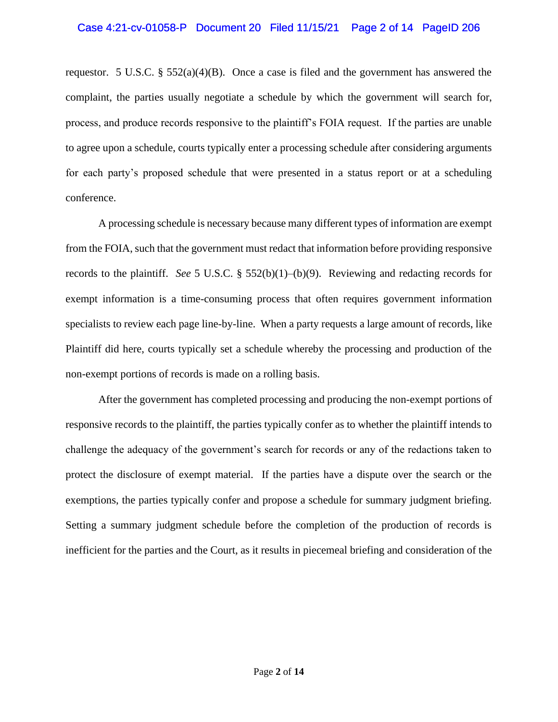### Case 4:21-cv-01058-P Document 20 Filed 11/15/21 Page 2 of 14 PageID 206

requestor. 5 U.S.C. §  $552(a)(4)(B)$ . Once a case is filed and the government has answered the complaint, the parties usually negotiate a schedule by which the government will search for, process, and produce records responsive to the plaintiff's FOIA request. If the parties are unable to agree upon a schedule, courts typically enter a processing schedule after considering arguments for each party's proposed schedule that were presented in a status report or at a scheduling conference.

A processing schedule is necessary because many different types of information are exempt from the FOIA, such that the government must redact that information before providing responsive records to the plaintiff. *See* 5 U.S.C. § 552(b)(1)–(b)(9). Reviewing and redacting records for exempt information is a time-consuming process that often requires government information specialists to review each page line-by-line. When a party requests a large amount of records, like Plaintiff did here, courts typically set a schedule whereby the processing and production of the non-exempt portions of records is made on a rolling basis.

After the government has completed processing and producing the non-exempt portions of responsive records to the plaintiff, the parties typically confer as to whether the plaintiff intends to challenge the adequacy of the government's search for records or any of the redactions taken to protect the disclosure of exempt material. If the parties have a dispute over the search or the exemptions, the parties typically confer and propose a schedule for summary judgment briefing. Setting a summary judgment schedule before the completion of the production of records is inefficient for the parties and the Court, as it results in piecemeal briefing and consideration of the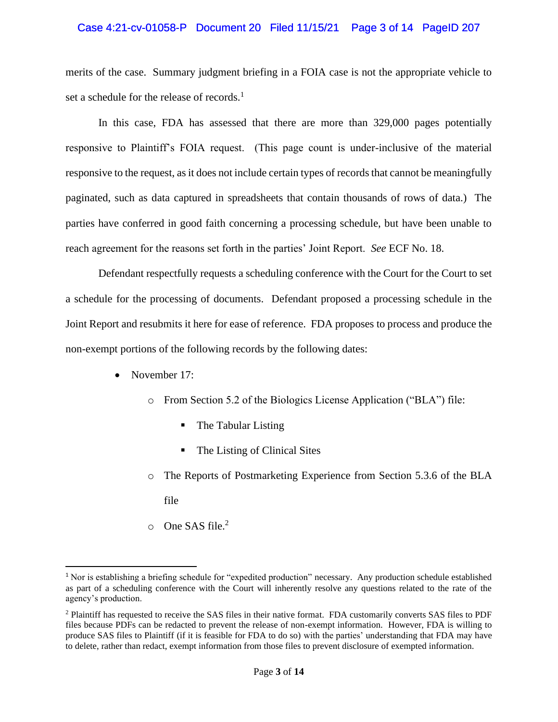### Case 4:21-cv-01058-P Document 20 Filed 11/15/21 Page 3 of 14 PageID 207

merits of the case. Summary judgment briefing in a FOIA case is not the appropriate vehicle to set a schedule for the release of records.<sup>1</sup>

In this case, FDA has assessed that there are more than 329,000 pages potentially responsive to Plaintiff's FOIA request. (This page count is under-inclusive of the material responsive to the request, as it does not include certain types of records that cannot be meaningfully paginated, such as data captured in spreadsheets that contain thousands of rows of data.) The parties have conferred in good faith concerning a processing schedule, but have been unable to reach agreement for the reasons set forth in the parties' Joint Report. *See* ECF No. 18.

Defendant respectfully requests a scheduling conference with the Court for the Court to set a schedule for the processing of documents. Defendant proposed a processing schedule in the Joint Report and resubmits it here for ease of reference. FDA proposes to process and produce the non-exempt portions of the following records by the following dates:

- November 17:
	- o From Section 5.2 of the Biologics License Application ("BLA") file:
		- The Tabular Listing
		- The Listing of Clinical Sites
	- o The Reports of Postmarketing Experience from Section 5.3.6 of the BLA file
	- $\circ$  One SAS file.<sup>2</sup>

<sup>1</sup> Nor is establishing a briefing schedule for "expedited production" necessary. Any production schedule established as part of a scheduling conference with the Court will inherently resolve any questions related to the rate of the agency's production.

<sup>2</sup> Plaintiff has requested to receive the SAS files in their native format. FDA customarily converts SAS files to PDF files because PDFs can be redacted to prevent the release of non-exempt information. However, FDA is willing to produce SAS files to Plaintiff (if it is feasible for FDA to do so) with the parties' understanding that FDA may have to delete, rather than redact, exempt information from those files to prevent disclosure of exempted information.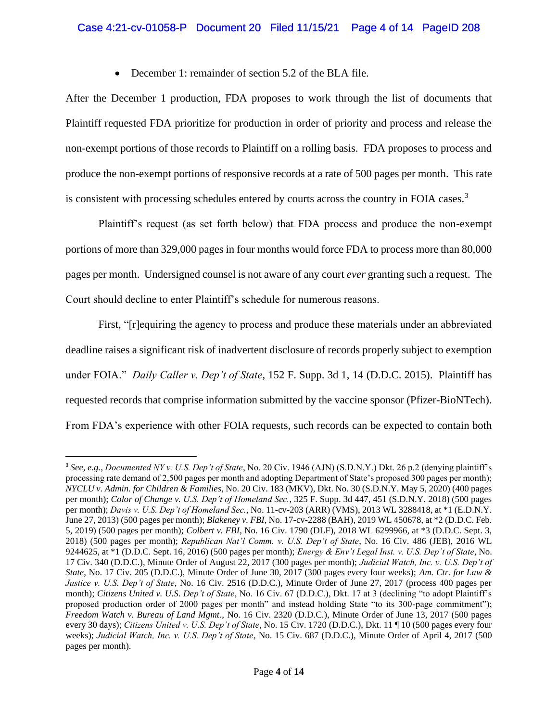## Case 4:21-cv-01058-P Document 20 Filed 11/15/21 Page 4 of 14 PageID 208

• December 1: remainder of section 5.2 of the BLA file.

After the December 1 production, FDA proposes to work through the list of documents that Plaintiff requested FDA prioritize for production in order of priority and process and release the non-exempt portions of those records to Plaintiff on a rolling basis. FDA proposes to process and produce the non-exempt portions of responsive records at a rate of 500 pages per month. This rate is consistent with processing schedules entered by courts across the country in FOIA cases.<sup>3</sup>

Plaintiff's request (as set forth below) that FDA process and produce the non-exempt portions of more than 329,000 pages in four months would force FDA to process more than 80,000 pages per month. Undersigned counsel is not aware of any court *ever* granting such a request. The Court should decline to enter Plaintiff's schedule for numerous reasons.

First, "[r]equiring the agency to process and produce these materials under an abbreviated deadline raises a significant risk of inadvertent disclosure of records properly subject to exemption under FOIA." *Daily Caller v. Dep't of State*, 152 F. Supp. 3d 1, 14 (D.D.C. 2015). Plaintiff has requested records that comprise information submitted by the vaccine sponsor (Pfizer-BioNTech). From FDA's experience with other FOIA requests, such records can be expected to contain both

<sup>3</sup> *See, e.g.*, *Documented NY v. U.S. Dep't of State*, No. 20 Civ. 1946 (AJN) (S.D.N.Y.) Dkt. 26 p.2 (denying plaintiff's processing rate demand of 2,500 pages per month and adopting Department of State's proposed 300 pages per month); *NYCLU v. Admin. for Children & Families*, No. 20 Civ. 183 (MKV), Dkt. No. 30 (S.D.N.Y. May 5, 2020) (400 pages per month); *Color of Change v. U.S. Dep't of Homeland Sec.*, 325 F. Supp. 3d 447, 451 (S.D.N.Y. 2018) (500 pages per month); *Davis v. U.S. Dep't of Homeland Sec.*, No. 11-cv-203 (ARR) (VMS), 2013 WL 3288418, at \*1 (E.D.N.Y. June 27, 2013) (500 pages per month); *Blakeney v. FBI*, No. 17-cv-2288 (BAH), 2019 WL 450678, at \*2 (D.D.C. Feb. 5, 2019) (500 pages per month); *Colbert v. FBI*, No. 16 Civ. 1790 (DLF), 2018 WL 6299966, at \*3 (D.D.C. Sept. 3, 2018) (500 pages per month); *Republican Nat'l Comm. v. U.S. Dep't of State*, No. 16 Civ. 486 (JEB), 2016 WL 9244625, at \*1 (D.D.C. Sept. 16, 2016) (500 pages per month); *Energy & Env't Legal Inst. v. U.S. Dep't of State*, No. 17 Civ. 340 (D.D.C.), Minute Order of August 22, 2017 (300 pages per month); *Judicial Watch, Inc. v. U.S. Dep't of State*, No. 17 Civ. 205 (D.D.C.), Minute Order of June 30, 2017 (300 pages every four weeks); *Am. Ctr. for Law & Justice v. U.S. Dep't of State*, No. 16 Civ. 2516 (D.D.C.), Minute Order of June 27, 2017 (process 400 pages per month); *Citizens United v. U.S. Dep't of State*, No. 16 Civ. 67 (D.D.C.), Dkt. 17 at 3 (declining "to adopt Plaintiff's proposed production order of 2000 pages per month" and instead holding State "to its 300-page commitment"); *Freedom Watch v. Bureau of Land Mgmt.*, No. 16 Civ. 2320 (D.D.C.), Minute Order of June 13, 2017 (500 pages every 30 days); *Citizens United v. U.S. Dep't of State*, No. 15 Civ. 1720 (D.D.C.), Dkt. 11 ¶ 10 (500 pages every four weeks); *Judicial Watch, Inc. v. U.S. Dep't of State*, No. 15 Civ. 687 (D.D.C.), Minute Order of April 4, 2017 (500 pages per month).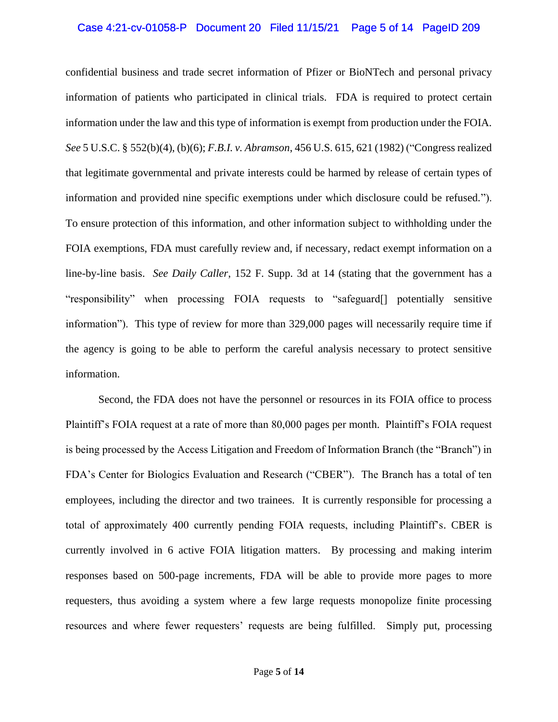### Case 4:21-cv-01058-P Document 20 Filed 11/15/21 Page 5 of 14 PageID 209

confidential business and trade secret information of Pfizer or BioNTech and personal privacy information of patients who participated in clinical trials. FDA is required to protect certain information under the law and this type of information is exempt from production under the FOIA. *See* 5 U.S.C. § 552(b)(4), (b)(6); *F.B.I. v. Abramson*, 456 U.S. 615, 621 (1982) ("Congress realized that legitimate governmental and private interests could be harmed by release of certain types of information and provided nine specific exemptions under which disclosure could be refused."). To ensure protection of this information, and other information subject to withholding under the FOIA exemptions, FDA must carefully review and, if necessary, redact exempt information on a line-by-line basis. *See Daily Caller*, 152 F. Supp. 3d at 14 (stating that the government has a "responsibility" when processing FOIA requests to "safeguard[] potentially sensitive information"). This type of review for more than 329,000 pages will necessarily require time if the agency is going to be able to perform the careful analysis necessary to protect sensitive information.

Second, the FDA does not have the personnel or resources in its FOIA office to process Plaintiff's FOIA request at a rate of more than 80,000 pages per month. Plaintiff's FOIA request is being processed by the Access Litigation and Freedom of Information Branch (the "Branch") in FDA's Center for Biologics Evaluation and Research ("CBER"). The Branch has a total of ten employees, including the director and two trainees. It is currently responsible for processing a total of approximately 400 currently pending FOIA requests, including Plaintiff's. CBER is currently involved in 6 active FOIA litigation matters. By processing and making interim responses based on 500-page increments, FDA will be able to provide more pages to more requesters, thus avoiding a system where a few large requests monopolize finite processing resources and where fewer requesters' requests are being fulfilled. Simply put, processing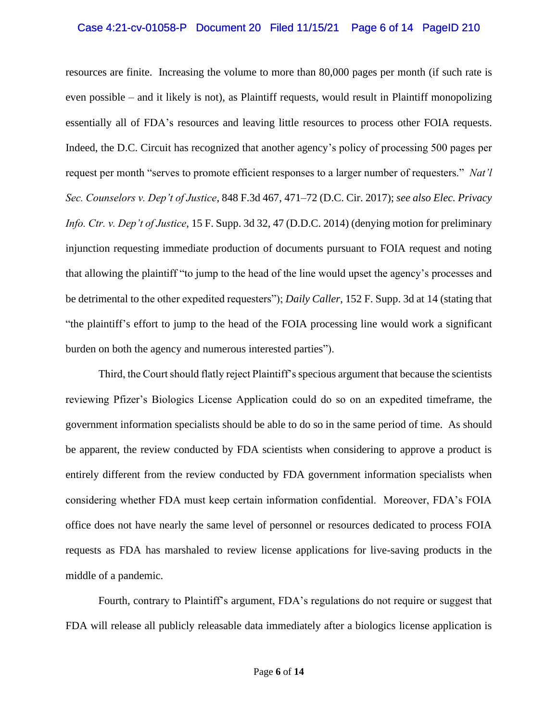### Case 4:21-cv-01058-P Document 20 Filed 11/15/21 Page 6 of 14 PageID 210

resources are finite. Increasing the volume to more than 80,000 pages per month (if such rate is even possible – and it likely is not), as Plaintiff requests, would result in Plaintiff monopolizing essentially all of FDA's resources and leaving little resources to process other FOIA requests. Indeed, the D.C. Circuit has recognized that another agency's policy of processing 500 pages per request per month "serves to promote efficient responses to a larger number of requesters." *Nat'l Sec. Counselors v. Dep't of Justice*, 848 F.3d 467, 471–72 (D.C. Cir. 2017); *see also Elec. Privacy Info. Ctr. v. Dep't of Justice*, 15 F. Supp. 3d 32, 47 (D.D.C. 2014) (denying motion for preliminary injunction requesting immediate production of documents pursuant to FOIA request and noting that allowing the plaintiff "to jump to the head of the line would upset the agency's processes and be detrimental to the other expedited requesters"); *Daily Caller*, 152 F. Supp. 3d at 14 (stating that "the plaintiff's effort to jump to the head of the FOIA processing line would work a significant burden on both the agency and numerous interested parties").

Third, the Court should flatly reject Plaintiff's specious argument that because the scientists reviewing Pfizer's Biologics License Application could do so on an expedited timeframe, the government information specialists should be able to do so in the same period of time. As should be apparent, the review conducted by FDA scientists when considering to approve a product is entirely different from the review conducted by FDA government information specialists when considering whether FDA must keep certain information confidential. Moreover, FDA's FOIA office does not have nearly the same level of personnel or resources dedicated to process FOIA requests as FDA has marshaled to review license applications for live-saving products in the middle of a pandemic.

Fourth, contrary to Plaintiff's argument, FDA's regulations do not require or suggest that FDA will release all publicly releasable data immediately after a biologics license application is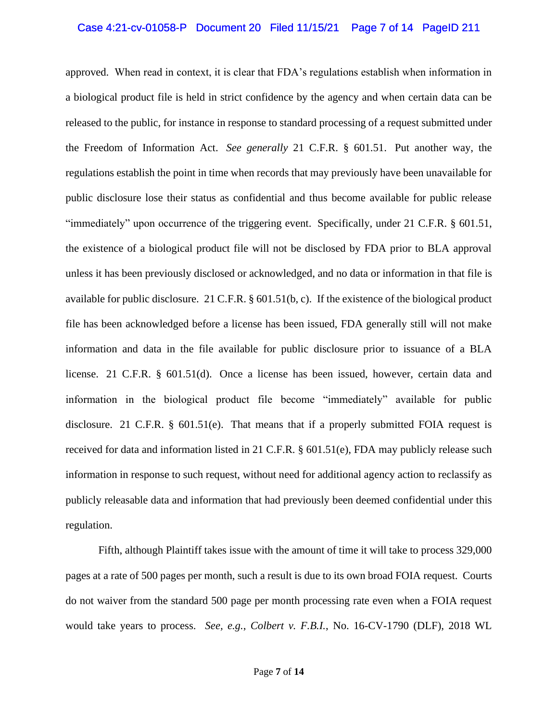### Case 4:21-cv-01058-P Document 20 Filed 11/15/21 Page 7 of 14 PageID 211

approved. When read in context, it is clear that FDA's regulations establish when information in a biological product file is held in strict confidence by the agency and when certain data can be released to the public, for instance in response to standard processing of a request submitted under the Freedom of Information Act. *See generally* 21 C.F.R. § 601.51. Put another way, the regulations establish the point in time when records that may previously have been unavailable for public disclosure lose their status as confidential and thus become available for public release "immediately" upon occurrence of the triggering event. Specifically, under 21 C.F.R. § 601.51, the existence of a biological product file will not be disclosed by FDA prior to BLA approval unless it has been previously disclosed or acknowledged, and no data or information in that file is available for public disclosure. 21 C.F.R. § 601.51(b, c). If the existence of the biological product file has been acknowledged before a license has been issued, FDA generally still will not make information and data in the file available for public disclosure prior to issuance of a BLA license. 21 C.F.R. § 601.51(d). Once a license has been issued, however, certain data and information in the biological product file become "immediately" available for public disclosure. 21 C.F.R.  $\S$  601.51(e). That means that if a properly submitted FOIA request is received for data and information listed in 21 C.F.R. § 601.51(e), FDA may publicly release such information in response to such request, without need for additional agency action to reclassify as publicly releasable data and information that had previously been deemed confidential under this regulation.

Fifth, although Plaintiff takes issue with the amount of time it will take to process 329,000 pages at a rate of 500 pages per month, such a result is due to its own broad FOIA request. Courts do not waiver from the standard 500 page per month processing rate even when a FOIA request would take years to process. *See, e.g.*, *Colbert v. F.B.I.*, No. 16-CV-1790 (DLF), 2018 WL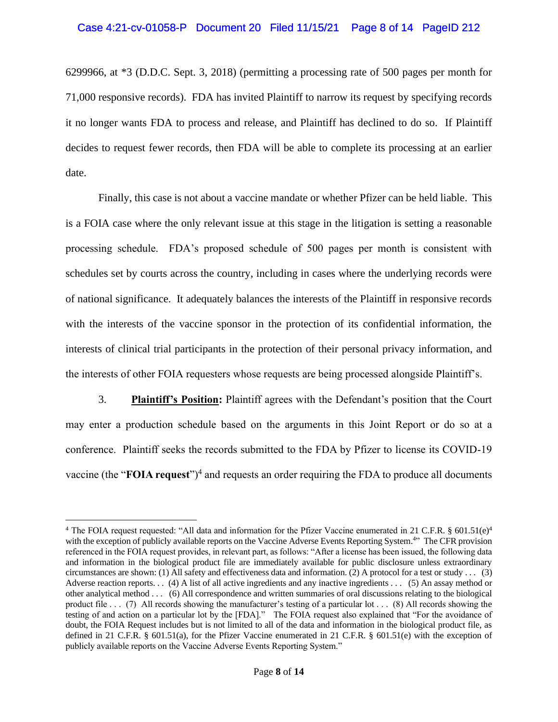#### Case 4:21-cv-01058-P Document 20 Filed 11/15/21 Page 8 of 14 PageID 212

6299966, at \*3 (D.D.C. Sept. 3, 2018) (permitting a processing rate of 500 pages per month for 71,000 responsive records). FDA has invited Plaintiff to narrow its request by specifying records it no longer wants FDA to process and release, and Plaintiff has declined to do so. If Plaintiff decides to request fewer records, then FDA will be able to complete its processing at an earlier date.

Finally, this case is not about a vaccine mandate or whether Pfizer can be held liable. This is a FOIA case where the only relevant issue at this stage in the litigation is setting a reasonable processing schedule. FDA's proposed schedule of 500 pages per month is consistent with schedules set by courts across the country, including in cases where the underlying records were of national significance. It adequately balances the interests of the Plaintiff in responsive records with the interests of the vaccine sponsor in the protection of its confidential information, the interests of clinical trial participants in the protection of their personal privacy information, and the interests of other FOIA requesters whose requests are being processed alongside Plaintiff's.

3. **Plaintiff's Position:** Plaintiff agrees with the Defendant's position that the Court may enter a production schedule based on the arguments in this Joint Report or do so at a conference. Plaintiff seeks the records submitted to the FDA by Pfizer to license its COVID-19 vaccine (the "**FOIA request**")<sup>4</sup> and requests an order requiring the FDA to produce all documents

<sup>&</sup>lt;sup>4</sup> The FOIA request requested: "All data and information for the Pfizer Vaccine enumerated in 21 C.F.R. § 601.51(e)<sup>4</sup> with the exception of publicly available reports on the Vaccine Adverse Events Reporting System.<sup>4</sup>" The CFR provision referenced in the FOIA request provides, in relevant part, as follows: "After a license has been issued, the following data and information in the biological product file are immediately available for public disclosure unless extraordinary circumstances are shown: (1) All safety and effectiveness data and information. (2) A protocol for a test or study  $\dots$  (3) Adverse reaction reports. . . (4) A list of all active ingredients and any inactive ingredients . . . (5) An assay method or other analytical method . . . (6) All correspondence and written summaries of oral discussions relating to the biological product file . . . (7) All records showing the manufacturer's testing of a particular lot . . . (8) All records showing the testing of and action on a particular lot by the [FDA]." The FOIA request also explained that "For the avoidance of doubt, the FOIA Request includes but is not limited to all of the data and information in the biological product file, as defined in 21 C.F.R. § 601.51(a), for the Pfizer Vaccine enumerated in 21 C.F.R. § 601.51(e) with the exception of publicly available reports on the Vaccine Adverse Events Reporting System."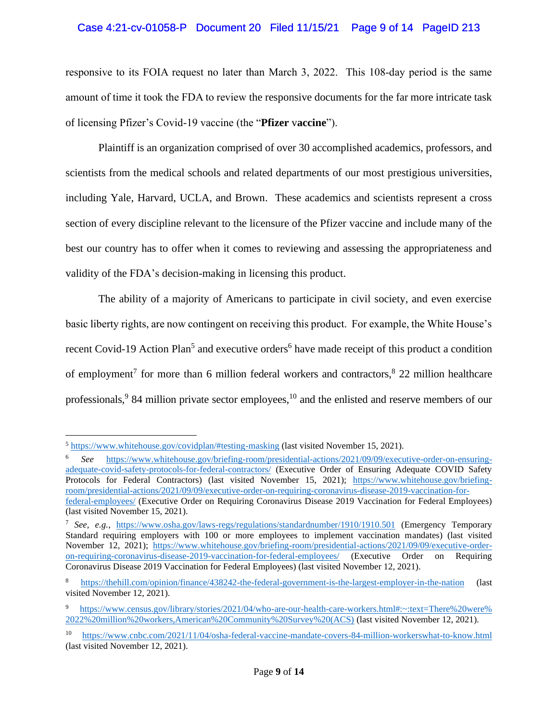## Case 4:21-cv-01058-P Document 20 Filed 11/15/21 Page 9 of 14 PageID 213

responsive to its FOIA request no later than March 3, 2022. This 108-day period is the same amount of time it took the FDA to review the responsive documents for the far more intricate task of licensing Pfizer's Covid-19 vaccine (the "**Pfizer** v**accine**").

Plaintiff is an organization comprised of over 30 accomplished academics, professors, and scientists from the medical schools and related departments of our most prestigious universities, including Yale, Harvard, UCLA, and Brown. These academics and scientists represent a cross section of every discipline relevant to the licensure of the Pfizer vaccine and include many of the best our country has to offer when it comes to reviewing and assessing the appropriateness and validity of the FDA's decision-making in licensing this product.

The ability of a majority of Americans to participate in civil society, and even exercise basic liberty rights, are now contingent on receiving this product. For example, the White House's recent Covid-19 Action Plan<sup>5</sup> and executive orders<sup>6</sup> have made receipt of this product a condition of employment<sup>7</sup> for more than 6 million federal workers and contractors,  $8\,22$  million healthcare professionals,<sup>9</sup> 84 million private sector employees,<sup>10</sup> and the enlisted and reserve members of our

<sup>&</sup>lt;sup>5</sup> <https://www.whitehouse.gov/covidplan/#testing-masking> (last visited November 15, 2021).

<sup>6</sup> *See* [https://www.whitehouse.gov/briefing-room/presidential-actions/2021/09/09/executive-order-on-ensuring](�� h t t p s : / / w w w . w h i t e h o u s e . g o v / b r i e f i n g - r o o m / p r e s i d e n t i a l - a c t i o n s / 2 0 2 1 / 0 9 / 0 9 / e x e c u t i v e - o r d e r - o n - e n s u r i n g - a d e q u a t e � "  - c o v i d - s a f e t y - p r o t o c o l s - f o r - f e d e r a l - c o n t r a c t o r s /)[adequate-covid-safety-protocols-for-federal-contractors/](�� h t t p s : / / w w w . w h i t e h o u s e . g o v / b r i e f i n g - r o o m / p r e s i d e n t i a l - a c t i o n s / 2 0 2 1 / 0 9 / 0 9 / e x e c u t i v e - o r d e r - o n - e n s u r i n g - a d e q u a t e � "  - c o v i d - s a f e t y - p r o t o c o l s - f o r - f e d e r a l - c o n t r a c t o r s /) (Executive Order of Ensuring Adequate COVID Safety Protocols for Federal Contractors) (last visited November 15, 2021); [https://www.whitehouse.gov/briefing](�� h t t p s : / / w w w . w h i t e h o u s e . g o v / b r i e f i n g - r o o m / p r e s i d e n t i a l - a c t i o n s / 2 0 2 1 / 0 9 / 0 9 / e x e c u t i v e - o r d e r - o n - r e q u i r i n g - c o r o n a v i r u s - d i s e a s e - 2 0 1 9 - v a c c i n a t i o n - f o r - f e d e r a l � "  - e m p l o y e e s /)[room/presidential-actions/2021/09/09/executive-order-on-requiring-coronavirus-disease-2019-vaccination-for](�� h t t p s : / / w w w . w h i t e h o u s e . g o v / b r i e f i n g - r o o m / p r e s i d e n t i a l - a c t i o n s / 2 0 2 1 / 0 9 / 0 9 / e x e c u t i v e - o r d e r - o n - r e q u i r i n g - c o r o n a v i r u s - d i s e a s e - 2 0 1 9 - v a c c i n a t i o n - f o r - f e d e r a l � "  - e m p l o y e e s /)[federal-employees/](�� h t t p s : / / w w w . w h i t e h o u s e . g o v / b r i e f i n g - r o o m / p r e s i d e n t i a l - a c t i o n s / 2 0 2 1 / 0 9 / 0 9 / e x e c u t i v e - o r d e r - o n - r e q u i r i n g - c o r o n a v i r u s - d i s e a s e - 2 0 1 9 - v a c c i n a t i o n - f o r - f e d e r a l � "  - e m p l o y e e s /) (Executive Order on Requiring Coronavirus Disease 2019 Vaccination for Federal Employees) (last visited November 15, 2021).

<sup>7</sup> *See, e.g.*, <https://www.osha.gov/laws-regs/regulations/standardnumber/1910/1910.501> (Emergency Temporary Standard requiring employers with 100 or more employees to implement vaccination mandates) (last visited November 12, 2021); [https://www.whitehouse.gov/briefing-room/presidential-actions/2021/09/09/executive-order](https://www.whitehouse.gov/briefing-room/presidential-actions/2021/09/09/executive-order-on-requiring-coronavirus-disease-2019-vaccination-for-federal-employees/)[on-requiring-coronavirus-disease-2019-vaccination-for-federal-employees/](https://www.whitehouse.gov/briefing-room/presidential-actions/2021/09/09/executive-order-on-requiring-coronavirus-disease-2019-vaccination-for-federal-employees/) (Executive Order on Requiring Coronavirus Disease 2019 Vaccination for Federal Employees) (last visited November 12, 2021).

<https://thehill.com/opinion/finance/438242-the-federal-government-is-the-largest-employer-in-the-nation> (last visited November 12, 2021).

[https://www.census.gov/library/stories/2021/04/who-are-our-health-care-workers.html#:~:text=There%20were%](�� h t t p s : / / w w w . c e n s u s . g o v / l i b r a r y / s t o r i e s / 2 0 2 1 / 0 4 / w h o - a r e - o u r - h e a l t h - c a r e - w o r k e r s . h t m l # : ~ : t e x t = � "  T h e r e % 2 0 � "  w e r e % � "  2 0 2 2 � "  % 2 0 m i l l i o n % 2 0 w o r k e r s , A m e r i c a n % 2 0 C o m m u n i t y % 2 0 S u r v e y % 2 0 ( A C S ) .) [2022%20million%20workers,American%20Community%20Survey%20\(ACS\)](�� h t t p s : / / w w w . c e n s u s . g o v / l i b r a r y / s t o r i e s / 2 0 2 1 / 0 4 / w h o - a r e - o u r - h e a l t h - c a r e - w o r k e r s . h t m l # : ~ : t e x t = � "  T h e r e % 2 0 � "  w e r e % � "  2 0 2 2 � "  % 2 0 m i l l i o n % 2 0 w o r k e r s , A m e r i c a n % 2 0 C o m m u n i t y % 2 0 S u r v e y % 2 0 ( A C S ) .) (last visited November 12, 2021).

<sup>10</sup> <https://www.cnbc.com/2021/11/04/osha-federal-vaccine-mandate-covers-84-million-workerswhat-to-know.html> (last visited November 12, 2021).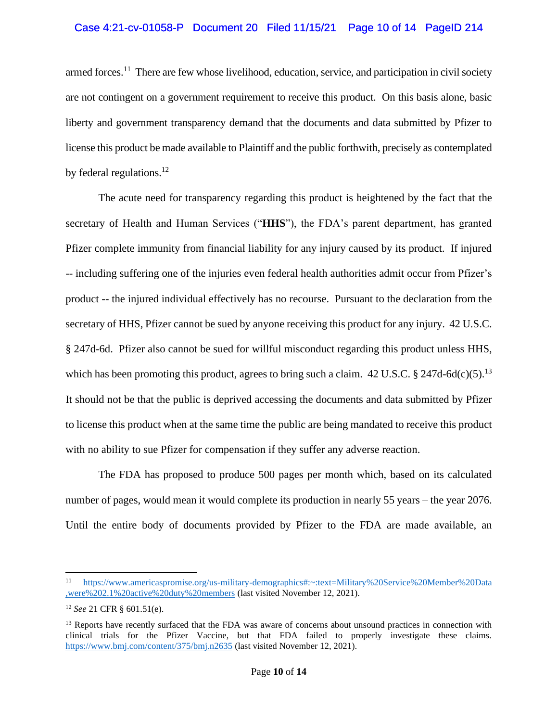## Case 4:21-cv-01058-P Document 20 Filed 11/15/21 Page 10 of 14 PageID 214

armed forces.<sup>11</sup> There are few whose livelihood, education, service, and participation in civil society are not contingent on a government requirement to receive this product. On this basis alone, basic liberty and government transparency demand that the documents and data submitted by Pfizer to license this product be made available to Plaintiff and the public forthwith, precisely as contemplated by federal regulations. $^{12}$ 

The acute need for transparency regarding this product is heightened by the fact that the secretary of Health and Human Services ("**HHS**"), the FDA's parent department, has granted Pfizer complete immunity from financial liability for any injury caused by its product. If injured -- including suffering one of the injuries even federal health authorities admit occur from Pfizer's product -- the injured individual effectively has no recourse. Pursuant to the declaration from the secretary of HHS, Pfizer cannot be sued by anyone receiving this product for any injury. 42 U.S.C. § 247d-6d. Pfizer also cannot be sued for willful misconduct regarding this product unless HHS, which has been promoting this product, agrees to bring such a claim.  $42 \text{ U.S.C.}$  §  $247 \text{d-}6 \text{d(c)}(5)$ .<sup>13</sup> It should not be that the public is deprived accessing the documents and data submitted by Pfizer to license this product when at the same time the public are being mandated to receive this product with no ability to sue Pfizer for compensation if they suffer any adverse reaction.

The FDA has proposed to produce 500 pages per month which, based on its calculated number of pages, would mean it would complete its production in nearly 55 years – the year 2076. Until the entire body of documents provided by Pfizer to the FDA are made available, an

<sup>11</sup> [https://www.americaspromise.org/us-military-demographics#:~:text=Military%20Service%20Member%20Data](�� h t t p s : / / w w w . a m e r i c a s p r o m i s e . o r g / u s - m i l i t a r y - d e m o g r a p h i c s # : ~ : t e x t = M i l i t a r y � "  % 2 0 S e r v i c e % 2 0 M e m b e r % 2 0 D a t a � "  , w e r e % 2 0 2 . 1 % 2 0 a c t i v e % 2 0 d u t y % 2 0 m e m b e r s .) [,were%202.1%20active%20duty%20members](�� h t t p s : / / w w w . a m e r i c a s p r o m i s e . o r g / u s - m i l i t a r y - d e m o g r a p h i c s # : ~ : t e x t = M i l i t a r y � "  % 2 0 S e r v i c e % 2 0 M e m b e r % 2 0 D a t a � "  , w e r e % 2 0 2 . 1 % 2 0 a c t i v e % 2 0 d u t y % 2 0 m e m b e r s .) (last visited November 12, 2021).

<sup>12</sup> *See* 21 CFR § 601.51(e).

<sup>&</sup>lt;sup>13</sup> Reports have recently surfaced that the FDA was aware of concerns about unsound practices in connection with clinical trials for the Pfizer Vaccine, but that FDA failed to properly investigate these claims. <https://www.bmj.com/content/375/bmj.n2635> (last visited November 12, 2021).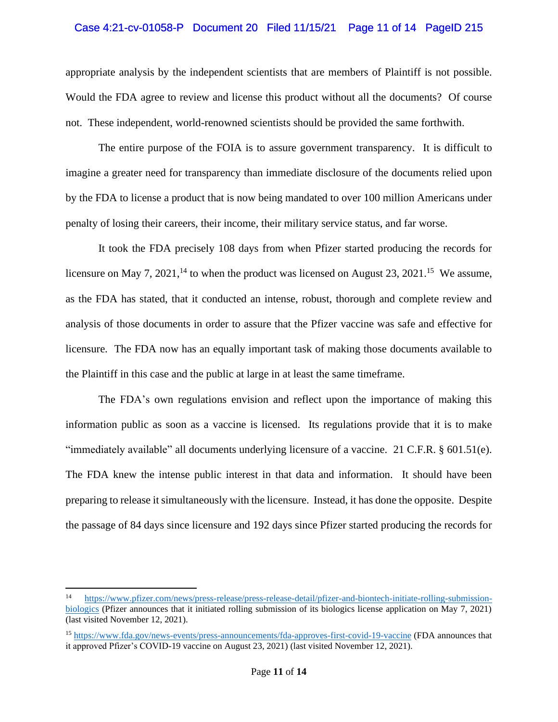### Case 4:21-cv-01058-P Document 20 Filed 11/15/21 Page 11 of 14 PageID 215

appropriate analysis by the independent scientists that are members of Plaintiff is not possible. Would the FDA agree to review and license this product without all the documents? Of course not. These independent, world-renowned scientists should be provided the same forthwith.

The entire purpose of the FOIA is to assure government transparency. It is difficult to imagine a greater need for transparency than immediate disclosure of the documents relied upon by the FDA to license a product that is now being mandated to over 100 million Americans under penalty of losing their careers, their income, their military service status, and far worse.

It took the FDA precisely 108 days from when Pfizer started producing the records for licensure on May 7, 2021,<sup>14</sup> to when the product was licensed on August 23, 2021.<sup>15</sup> We assume, as the FDA has stated, that it conducted an intense, robust, thorough and complete review and analysis of those documents in order to assure that the Pfizer vaccine was safe and effective for licensure. The FDA now has an equally important task of making those documents available to the Plaintiff in this case and the public at large in at least the same timeframe.

The FDA's own regulations envision and reflect upon the importance of making this information public as soon as a vaccine is licensed. Its regulations provide that it is to make "immediately available" all documents underlying licensure of a vaccine. 21 C.F.R. § 601.51(e). The FDA knew the intense public interest in that data and information. It should have been preparing to release it simultaneously with the licensure. Instead, it has done the opposite. Despite the passage of 84 days since licensure and 192 days since Pfizer started producing the records for

<sup>14</sup> [https://www.pfizer.com/news/press-release/press-release-detail/pfizer-and-biontech-initiate-rolling-submission](https://www.pfizer.com/news/press-release/press-release-detail/pfizer-and-biontech-initiate-rolling-submission-biologics)[biologics](https://www.pfizer.com/news/press-release/press-release-detail/pfizer-and-biontech-initiate-rolling-submission-biologics) (Pfizer announces that it initiated rolling submission of its biologics license application on May 7, 2021) (last visited November 12, 2021).

<sup>15</sup> <https://www.fda.gov/news-events/press-announcements/fda-approves-first-covid-19-vaccine> (FDA announces that it approved Pfizer's COVID-19 vaccine on August 23, 2021) (last visited November 12, 2021).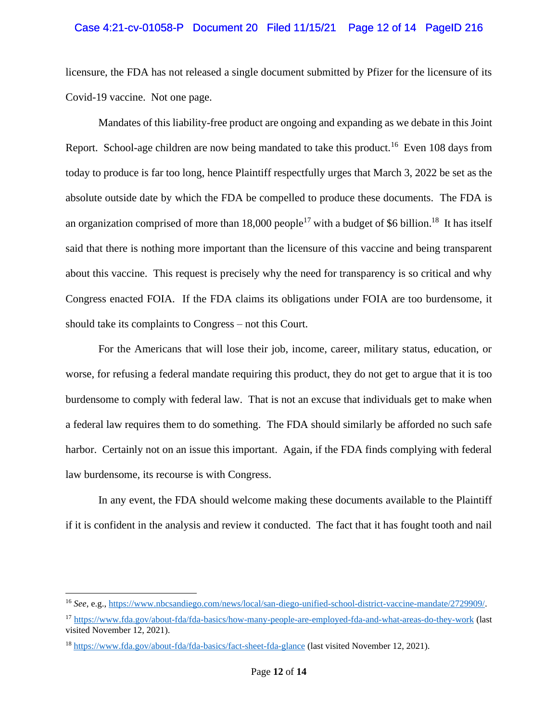## Case 4:21-cv-01058-P Document 20 Filed 11/15/21 Page 12 of 14 PageID 216

licensure, the FDA has not released a single document submitted by Pfizer for the licensure of its Covid-19 vaccine. Not one page.

Mandates of this liability-free product are ongoing and expanding as we debate in this Joint Report. School-age children are now being mandated to take this product.<sup>16</sup> Even 108 days from today to produce is far too long, hence Plaintiff respectfully urges that March 3, 2022 be set as the absolute outside date by which the FDA be compelled to produce these documents. The FDA is an organization comprised of more than 18,000 people<sup>17</sup> with a budget of \$6 billion.<sup>18</sup> It has itself said that there is nothing more important than the licensure of this vaccine and being transparent about this vaccine. This request is precisely why the need for transparency is so critical and why Congress enacted FOIA. If the FDA claims its obligations under FOIA are too burdensome, it should take its complaints to Congress – not this Court.

For the Americans that will lose their job, income, career, military status, education, or worse, for refusing a federal mandate requiring this product, they do not get to argue that it is too burdensome to comply with federal law. That is not an excuse that individuals get to make when a federal law requires them to do something. The FDA should similarly be afforded no such safe harbor. Certainly not on an issue this important. Again, if the FDA finds complying with federal law burdensome, its recourse is with Congress.

In any event, the FDA should welcome making these documents available to the Plaintiff if it is confident in the analysis and review it conducted. The fact that it has fought tooth and nail

<sup>16</sup> *See*, e.g., [https://www.nbcsandiego.com/news/local/san-diego-unified-school-district-vaccine-mandate/2729909/.](https://www.nbcsandiego.com/news/local/san-diego-unified-school-district-vaccine-mandate/2729909/)

<sup>17</sup> <https://www.fda.gov/about-fda/fda-basics/how-many-people-are-employed-fda-and-what-areas-do-they-work> (last visited November 12, 2021).

<sup>18</sup> <https://www.fda.gov/about-fda/fda-basics/fact-sheet-fda-glance> (last visited November 12, 2021).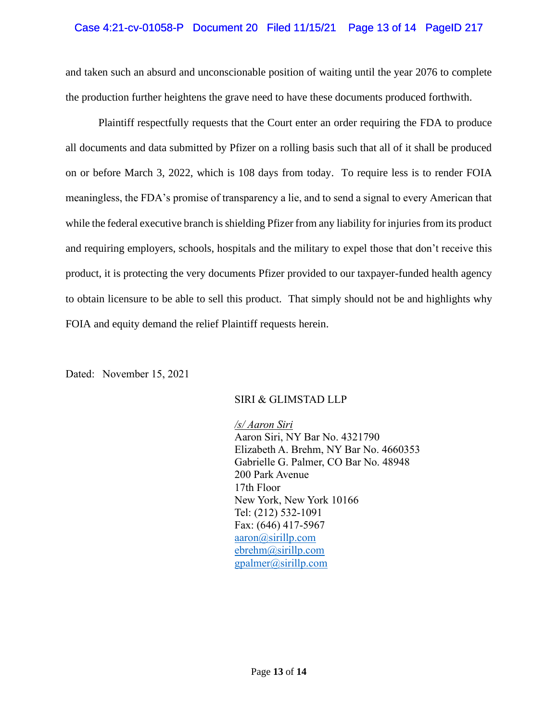## Case 4:21-cv-01058-P Document 20 Filed 11/15/21 Page 13 of 14 PageID 217

and taken such an absurd and unconscionable position of waiting until the year 2076 to complete the production further heightens the grave need to have these documents produced forthwith.

Plaintiff respectfully requests that the Court enter an order requiring the FDA to produce all documents and data submitted by Pfizer on a rolling basis such that all of it shall be produced on or before March 3, 2022, which is 108 days from today. To require less is to render FOIA meaningless, the FDA's promise of transparency a lie, and to send a signal to every American that while the federal executive branch is shielding Pfizer from any liability for injuries from its product and requiring employers, schools, hospitals and the military to expel those that don't receive this product, it is protecting the very documents Pfizer provided to our taxpayer-funded health agency to obtain licensure to be able to sell this product. That simply should not be and highlights why FOIA and equity demand the relief Plaintiff requests herein.

Dated: November 15, 2021

## SIRI & GLIMSTAD LLP

*/s/ Aaron Siri* Aaron Siri, NY Bar No. 4321790 Elizabeth A. Brehm, NY Bar No. 4660353 Gabrielle G. Palmer, CO Bar No. 48948 200 Park Avenue 17th Floor New York, New York 10166 Tel: (212) 532-1091 Fax: (646) 417-5967 [aaron@sirillp.com](mailto:aaron@sirillp.com) ebrehm@sirillp.com [gpalmer@sirillp.com](mailto:gpalmer@sirillp.com)